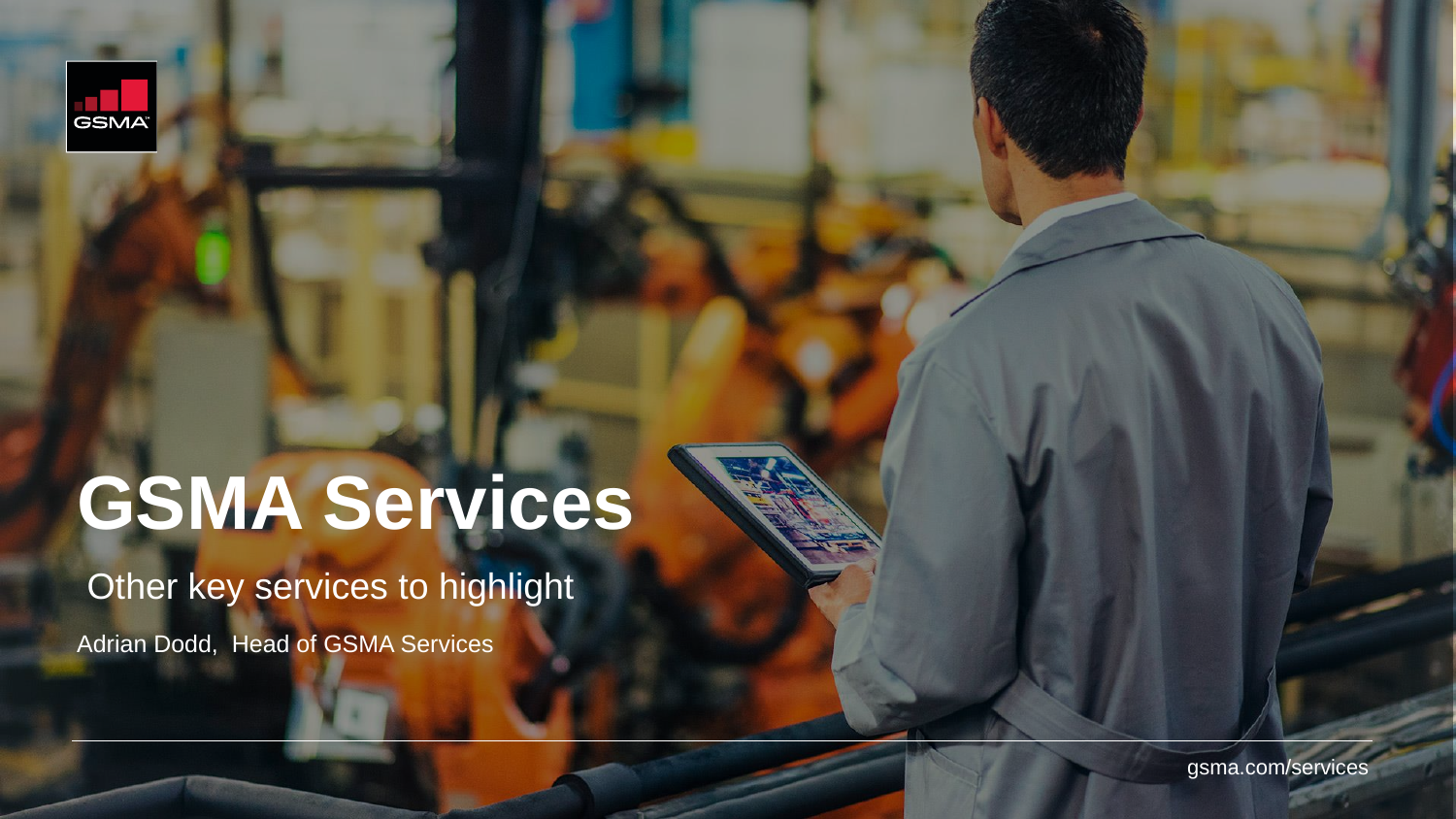

# **GSMA Services**

Other key services to highlight

Adrian Dodd, Head of GSMA Services

gsma.com/services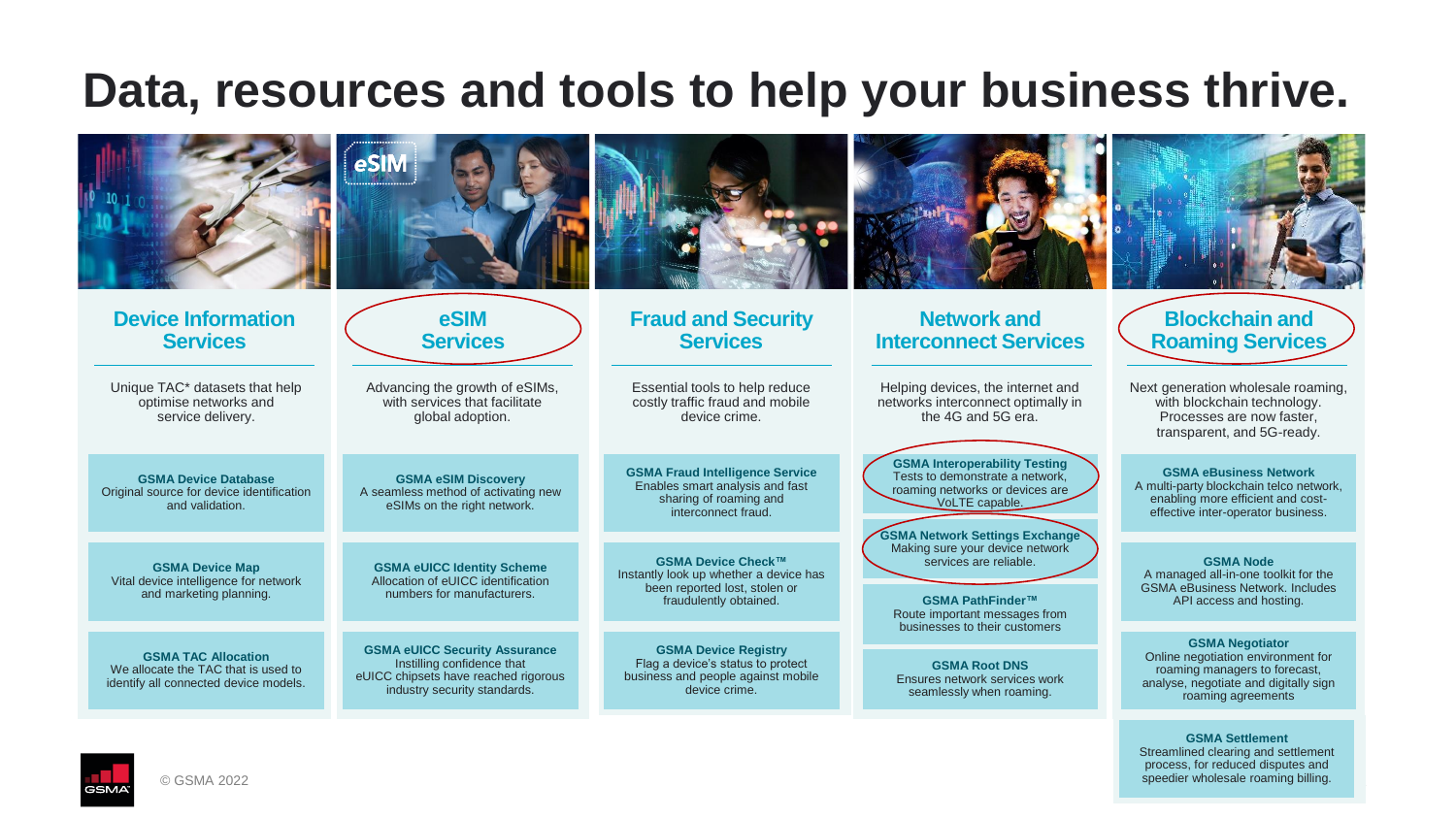### **Data, resources and tools to help your business thrive.**

| <b>Device Information</b><br><b>Services</b>                                                               | eSIM<br><b>Services</b>                                                                                                                    | <b>Fraud and Security</b><br><b>Services</b>                                                                               | <b>Network and</b><br><b>Interconnect Services</b>                                                                                                                    | <b>Blockchain and</b><br><b>Roaming Services</b>                                                                                                             |
|------------------------------------------------------------------------------------------------------------|--------------------------------------------------------------------------------------------------------------------------------------------|----------------------------------------------------------------------------------------------------------------------------|-----------------------------------------------------------------------------------------------------------------------------------------------------------------------|--------------------------------------------------------------------------------------------------------------------------------------------------------------|
| Unique TAC* datasets that help<br>optimise networks and<br>service delivery.                               | Advancing the growth of eSIMs,<br>with services that facilitate<br>global adoption.                                                        | Essential tools to help reduce<br>costly traffic fraud and mobile<br>device crime.                                         | Helping devices, the internet and<br>networks interconnect optimally in<br>the 4G and 5G era.                                                                         | Next generation wholesale roaming,<br>with blockchain technology.<br>Processes are now faster,<br>transparent, and 5G-ready.                                 |
| <b>GSMA Device Database</b><br>Original source for device identification<br>and validation.                | <b>GSMA eSIM Discovery</b><br>A seamless method of activating new<br>eSIMs on the right network.                                           | <b>GSMA Fraud Intelligence Service</b><br>Enables smart analysis and fast<br>sharing of roaming and<br>interconnect fraud. | <b>GSMA Interoperability Testing</b><br>Tests to demonstrate a network,<br>roaming networks or devices are<br>VoLTE capable.<br><b>GSMA Network Settings Exchange</b> | <b>GSMA eBusiness Network</b><br>A multi-party blockchain telco network,<br>enabling more efficient and cost-<br>effective inter-operator business.          |
| <b>GSMA Device Map</b><br>Vital device intelligence for network<br>and marketing planning.                 | <b>GSMA eUICC Identity Scheme</b><br>Allocation of eUICC identification<br>numbers for manufacturers.                                      | GSMA Device Check™<br>Instantly look up whether a device has<br>been reported lost, stolen or<br>fraudulently obtained.    | Making sure your device network<br>services are reliable.<br>GSMA PathFinder™<br>Route important messages from<br>businesses to their customers                       | <b>GSMA Node</b><br>A managed all-in-one toolkit for the<br><b>GSMA eBusiness Network, Includes</b><br>API access and hosting.                               |
| <b>GSMA TAC Allocation</b><br>We allocate the TAC that is used to<br>identify all connected device models. | <b>GSMA eUICC Security Assurance</b><br>Instilling confidence that<br>eUICC chipsets have reached rigorous<br>industry security standards. | <b>GSMA Device Registry</b><br>Flag a device's status to protect<br>business and people against mobile<br>device crime.    | <b>GSMA Root DNS</b><br>Ensures network services work<br>seamlessly when roaming.                                                                                     | <b>GSMA Negotiator</b><br>Online negotiation environment for<br>roaming managers to forecast,<br>analyse, negotiate and digitally sign<br>roaming agreements |



speedier wholesale roaming billing. **GSMA Settlement** Streamlined clearing and settlement process, for reduced disputes and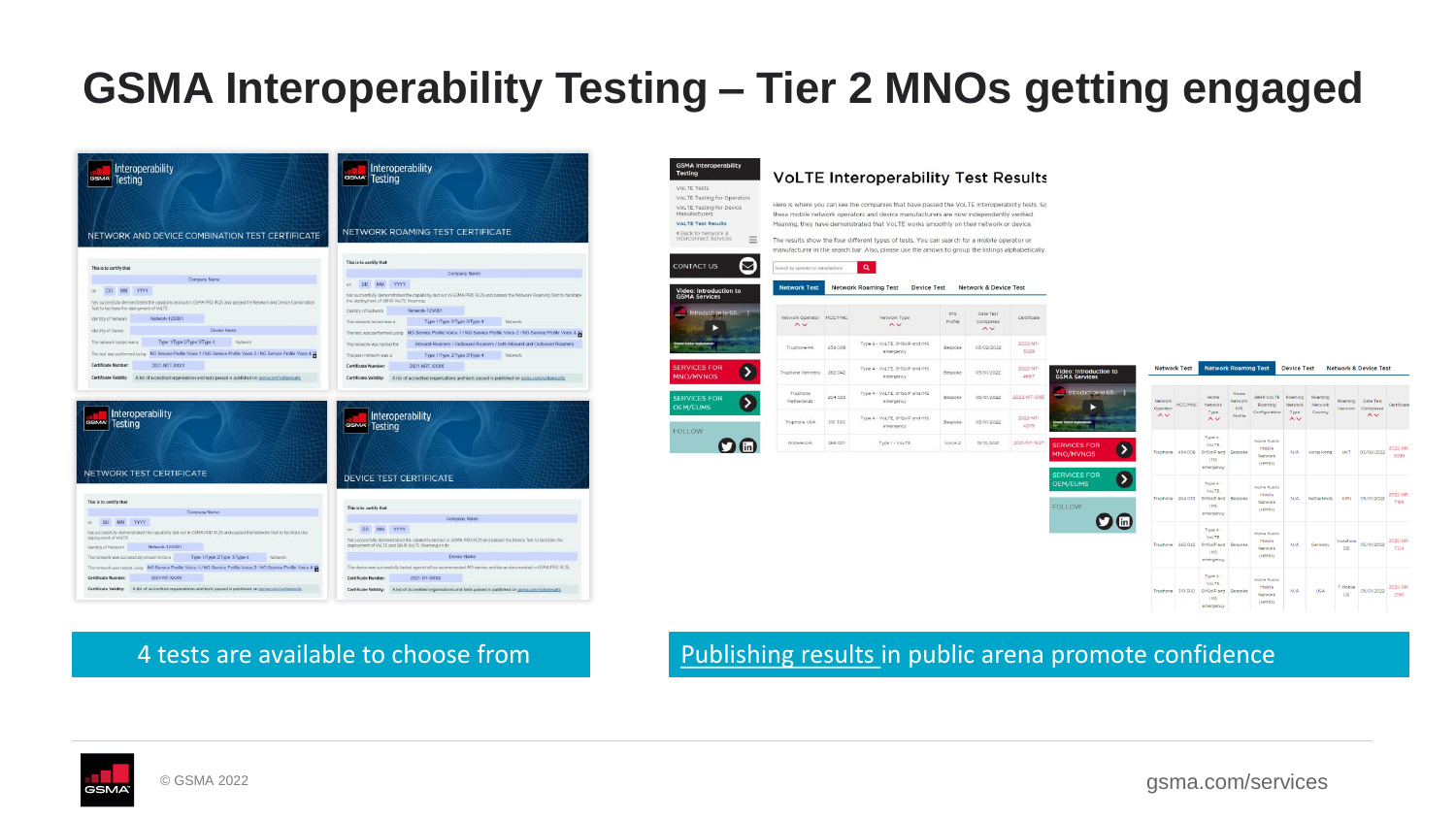### **GSMA Interoperability Testing – Tier 2 MNOs getting engaged**



### 4 tests are available to choose from [Publishing results i](https://www.gsma.com/services/interoperability-testing/volte-test-results/)n public arena promote confidence



gsma.com/services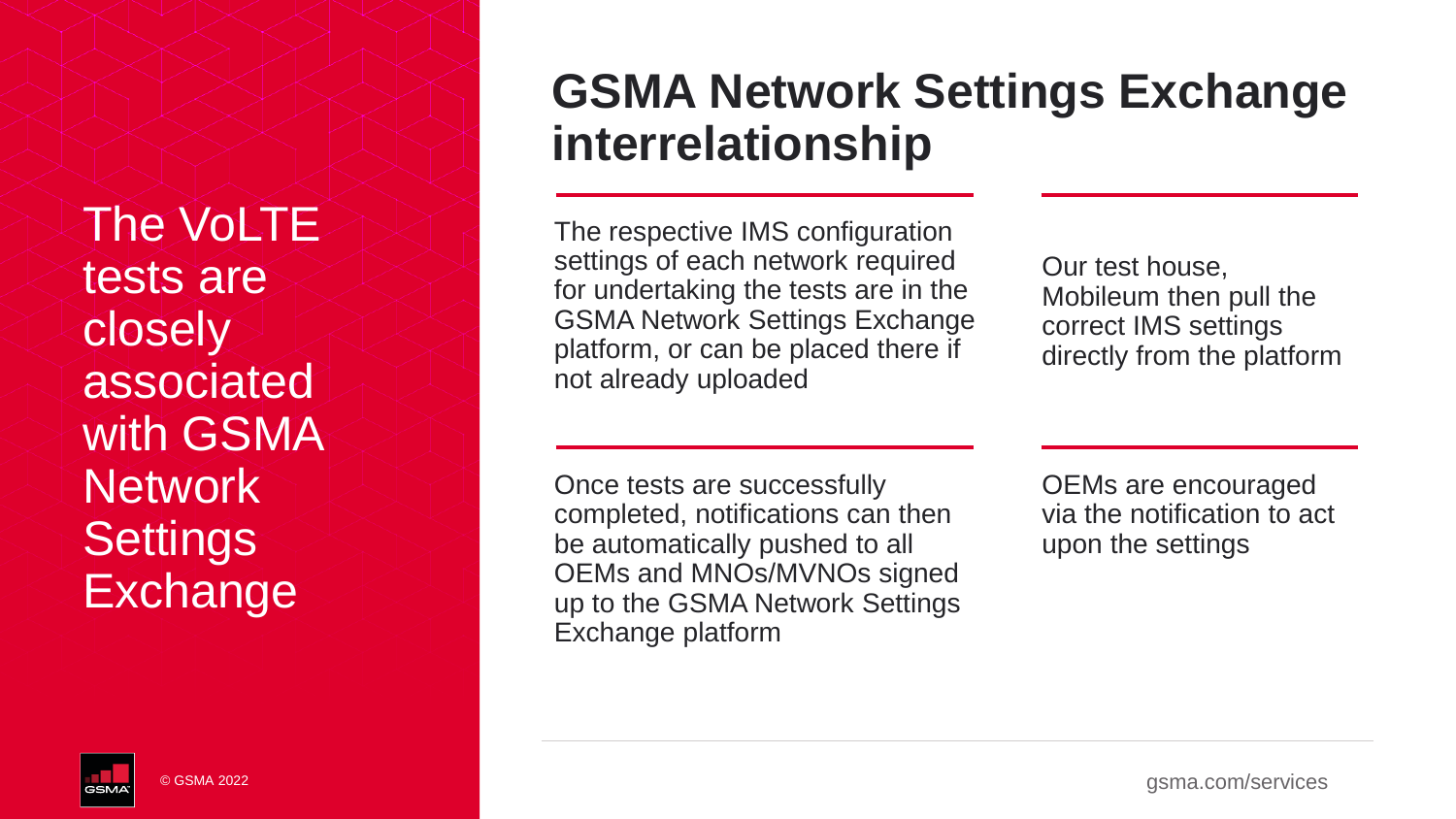The VoLTE tests are closely associated with GSMA **Network Settings Exchange** 

© GSMA 2022

## **GSMA Network Settings Exchange interrelationship**

The respective IMS configuration settings of each network required for undertaking the tests are in the GSMA Network Settings Exchange platform, or can be placed there if not already uploaded

Our test house, Mobileum then pull the correct IMS settings directly from the platform

Once tests are successfully completed, notifications can then be automatically pushed to all OEMs and MNOs/MVNOs signed up to the GSMA Network Settings Exchange platform

OEMs are encouraged via the notification to act upon the settings